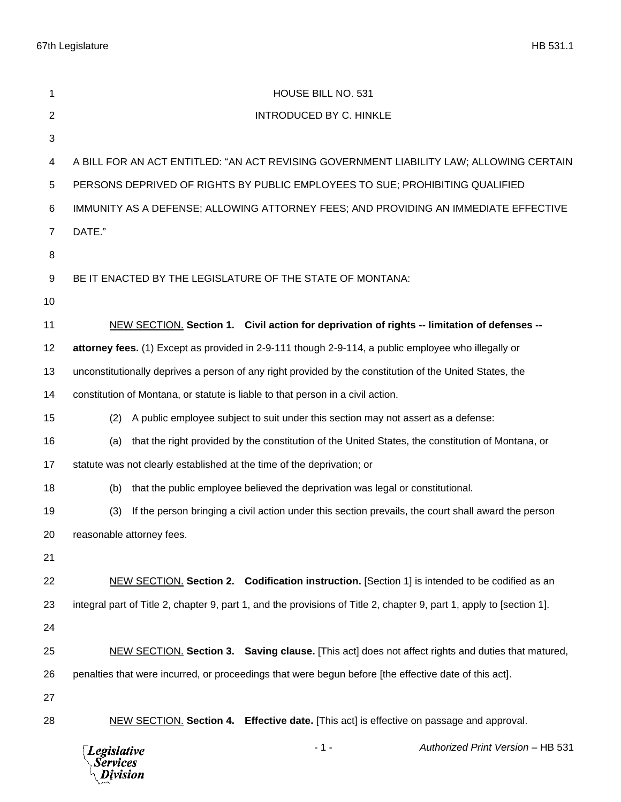67th Legislature HB 531.1

| 1              | HOUSE BILL NO. 531                                                                                                   |
|----------------|----------------------------------------------------------------------------------------------------------------------|
| $\overline{c}$ | <b>INTRODUCED BY C. HINKLE</b>                                                                                       |
| 3              |                                                                                                                      |
| 4              | A BILL FOR AN ACT ENTITLED: "AN ACT REVISING GOVERNMENT LIABILITY LAW; ALLOWING CERTAIN                              |
| 5              | PERSONS DEPRIVED OF RIGHTS BY PUBLIC EMPLOYEES TO SUE; PROHIBITING QUALIFIED                                         |
| 6              | IMMUNITY AS A DEFENSE; ALLOWING ATTORNEY FEES; AND PROVIDING AN IMMEDIATE EFFECTIVE                                  |
| $\overline{7}$ | DATE."                                                                                                               |
| 8              |                                                                                                                      |
| 9              | BE IT ENACTED BY THE LEGISLATURE OF THE STATE OF MONTANA:                                                            |
| 10             |                                                                                                                      |
| 11             | NEW SECTION. Section 1. Civil action for deprivation of rights -- limitation of defenses --                          |
| 12             | attorney fees. (1) Except as provided in 2-9-111 though 2-9-114, a public employee who illegally or                  |
| 13             | unconstitutionally deprives a person of any right provided by the constitution of the United States, the             |
| 14             | constitution of Montana, or statute is liable to that person in a civil action.                                      |
| 15             | A public employee subject to suit under this section may not assert as a defense:<br>(2)                             |
| 16             | that the right provided by the constitution of the United States, the constitution of Montana, or<br>(a)             |
| 17             | statute was not clearly established at the time of the deprivation; or                                               |
| 18             | that the public employee believed the deprivation was legal or constitutional.<br>(b)                                |
| 19             | If the person bringing a civil action under this section prevails, the court shall award the person<br>(3)           |
| 20             | reasonable attorney fees.                                                                                            |
| 21             |                                                                                                                      |
| 22             | NEW SECTION. Section 2. Codification instruction. [Section 1] is intended to be codified as an                       |
| 23             | integral part of Title 2, chapter 9, part 1, and the provisions of Title 2, chapter 9, part 1, apply to [section 1]. |
| 24             |                                                                                                                      |
| 25             | NEW SECTION. Section 3. Saving clause. [This act] does not affect rights and duties that matured,                    |
| 26             | penalties that were incurred, or proceedings that were begun before [the effective date of this act].                |
| 27             |                                                                                                                      |
| 28             | NEW SECTION. Section 4. Effective date. [This act] is effective on passage and approval.                             |
|                | $-1-$<br>Authorized Print Version - HB 531<br><b>Legislative</b><br>Services<br>Division                             |